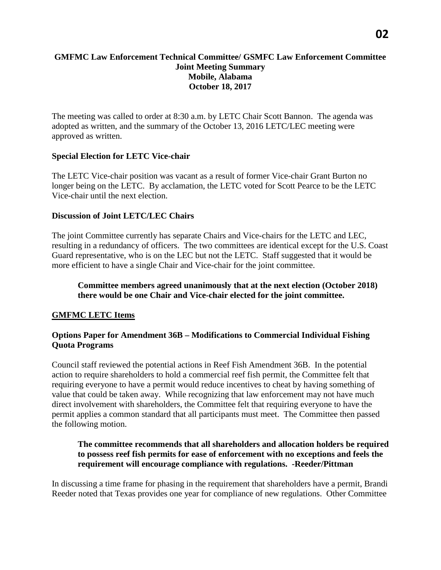### **GMFMC Law Enforcement Technical Committee/ GSMFC Law Enforcement Committee Joint Meeting Summary Mobile, Alabama October 18, 2017**

The meeting was called to order at 8:30 a.m. by LETC Chair Scott Bannon. The agenda was adopted as written, and the summary of the October 13, 2016 LETC/LEC meeting were approved as written.

### **Special Election for LETC Vice-chair**

The LETC Vice-chair position was vacant as a result of former Vice-chair Grant Burton no longer being on the LETC. By acclamation, the LETC voted for Scott Pearce to be the LETC Vice-chair until the next election.

#### **Discussion of Joint LETC/LEC Chairs**

The joint Committee currently has separate Chairs and Vice-chairs for the LETC and LEC, resulting in a redundancy of officers. The two committees are identical except for the U.S. Coast Guard representative, who is on the LEC but not the LETC. Staff suggested that it would be more efficient to have a single Chair and Vice-chair for the joint committee.

### **Committee members agreed unanimously that at the next election (October 2018) there would be one Chair and Vice-chair elected for the joint committee.**

# **GMFMC LETC Items**

### **Options Paper for Amendment 36B – Modifications to Commercial Individual Fishing Quota Programs**

Council staff reviewed the potential actions in Reef Fish Amendment 36B. In the potential action to require shareholders to hold a commercial reef fish permit, the Committee felt that requiring everyone to have a permit would reduce incentives to cheat by having something of value that could be taken away. While recognizing that law enforcement may not have much direct involvement with shareholders, the Committee felt that requiring everyone to have the permit applies a common standard that all participants must meet. The Committee then passed the following motion.

### **The committee recommends that all shareholders and allocation holders be required to possess reef fish permits for ease of enforcement with no exceptions and feels the requirement will encourage compliance with regulations. -Reeder/Pittman**

In discussing a time frame for phasing in the requirement that shareholders have a permit, Brandi Reeder noted that Texas provides one year for compliance of new regulations. Other Committee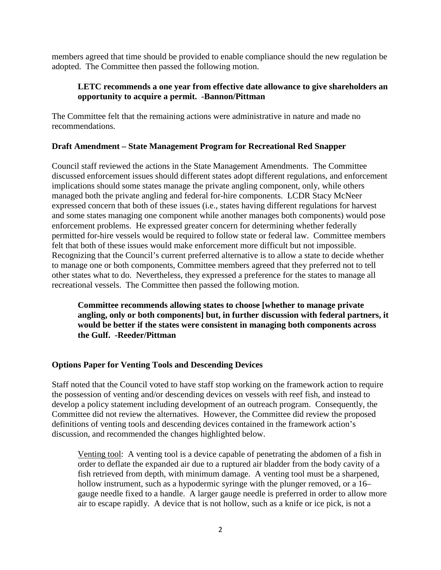members agreed that time should be provided to enable compliance should the new regulation be adopted. The Committee then passed the following motion.

### **LETC recommends a one year from effective date allowance to give shareholders an opportunity to acquire a permit. -Bannon/Pittman**

The Committee felt that the remaining actions were administrative in nature and made no recommendations.

### **Draft Amendment – State Management Program for Recreational Red Snapper**

Council staff reviewed the actions in the State Management Amendments. The Committee discussed enforcement issues should different states adopt different regulations, and enforcement implications should some states manage the private angling component, only, while others managed both the private angling and federal for-hire components. LCDR Stacy McNeer expressed concern that both of these issues (i.e., states having different regulations for harvest and some states managing one component while another manages both components) would pose enforcement problems. He expressed greater concern for determining whether federally permitted for-hire vessels would be required to follow state or federal law. Committee members felt that both of these issues would make enforcement more difficult but not impossible. Recognizing that the Council's current preferred alternative is to allow a state to decide whether to manage one or both components, Committee members agreed that they preferred not to tell other states what to do. Nevertheless, they expressed a preference for the states to manage all recreational vessels. The Committee then passed the following motion.

**Committee recommends allowing states to choose [whether to manage private angling, only or both components] but, in further discussion with federal partners, it would be better if the states were consistent in managing both components across the Gulf. -Reeder/Pittman**

# **Options Paper for Venting Tools and Descending Devices**

Staff noted that the Council voted to have staff stop working on the framework action to require the possession of venting and/or descending devices on vessels with reef fish, and instead to develop a policy statement including development of an outreach program. Consequently, the Committee did not review the alternatives. However, the Committee did review the proposed definitions of venting tools and descending devices contained in the framework action's discussion, and recommended the changes highlighted below.

Venting tool: A venting tool is a device capable of penetrating the abdomen of a fish in order to deflate the expanded air due to a ruptured air bladder from the body cavity of a fish retrieved from depth, with minimum damage. A venting tool must be a sharpened, hollow instrument, such as a hypodermic syringe with the plunger removed, or a 16– gauge needle fixed to a handle. A larger gauge needle is preferred in order to allow more air to escape rapidly. A device that is not hollow, such as a knife or ice pick, is not a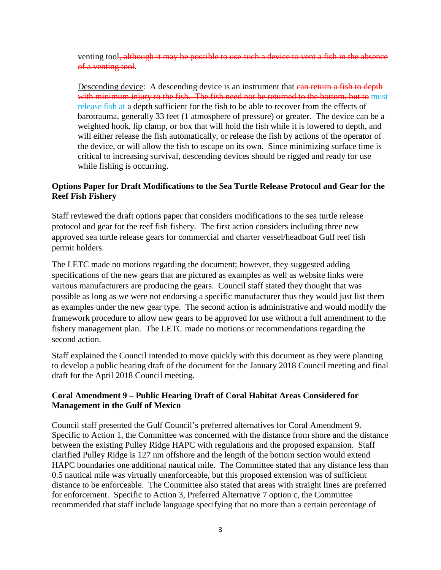venting tool<del>, although it may be possible to use such a device to vent a fish in the absence</del> of a venting tool.

Descending device: A descending device is an instrument that can return a fish to depth with minimum injury to the fish. The fish need not be returned to the bottom, but to must release fish at a depth sufficient for the fish to be able to recover from the effects of barotrauma, generally 33 feet (1 atmosphere of pressure) or greater. The device can be a weighted hook, lip clamp, or box that will hold the fish while it is lowered to depth, and will either release the fish automatically, or release the fish by actions of the operator of the device, or will allow the fish to escape on its own. Since minimizing surface time is critical to increasing survival, descending devices should be rigged and ready for use while fishing is occurring.

### **Options Paper for Draft Modifications to the Sea Turtle Release Protocol and Gear for the Reef Fish Fishery**

Staff reviewed the draft options paper that considers modifications to the sea turtle release protocol and gear for the reef fish fishery. The first action considers including three new approved sea turtle release gears for commercial and charter vessel/headboat Gulf reef fish permit holders.

The LETC made no motions regarding the document; however, they suggested adding specifications of the new gears that are pictured as examples as well as website links were various manufacturers are producing the gears. Council staff stated they thought that was possible as long as we were not endorsing a specific manufacturer thus they would just list them as examples under the new gear type. The second action is administrative and would modify the framework procedure to allow new gears to be approved for use without a full amendment to the fishery management plan. The LETC made no motions or recommendations regarding the second action.

Staff explained the Council intended to move quickly with this document as they were planning to develop a public hearing draft of the document for the January 2018 Council meeting and final draft for the April 2018 Council meeting.

# **Coral Amendment 9 – Public Hearing Draft of Coral Habitat Areas Considered for Management in the Gulf of Mexico**

Council staff presented the Gulf Council's preferred alternatives for Coral Amendment 9. Specific to Action 1, the Committee was concerned with the distance from shore and the distance between the existing Pulley Ridge HAPC with regulations and the proposed expansion. Staff clarified Pulley Ridge is 127 nm offshore and the length of the bottom section would extend HAPC boundaries one additional nautical mile. The Committee stated that any distance less than 0.5 nautical mile was virtually unenforceable, but this proposed extension was of sufficient distance to be enforceable. The Committee also stated that areas with straight lines are preferred for enforcement. Specific to Action 3, Preferred Alternative 7 option c, the Committee recommended that staff include language specifying that no more than a certain percentage of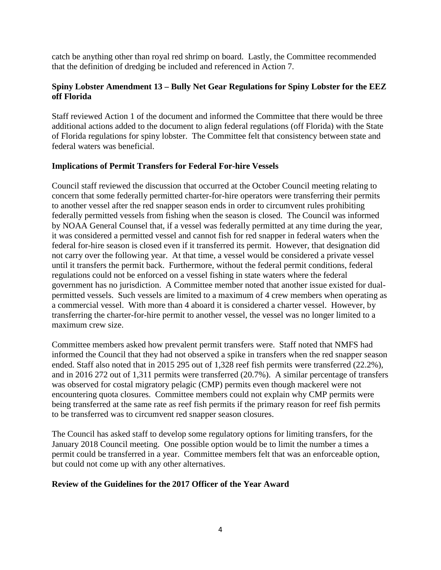catch be anything other than royal red shrimp on board. Lastly, the Committee recommended that the definition of dredging be included and referenced in Action 7.

# **Spiny Lobster Amendment 13 – Bully Net Gear Regulations for Spiny Lobster for the EEZ off Florida**

Staff reviewed Action 1 of the document and informed the Committee that there would be three additional actions added to the document to align federal regulations (off Florida) with the State of Florida regulations for spiny lobster. The Committee felt that consistency between state and federal waters was beneficial.

### **Implications of Permit Transfers for Federal For-hire Vessels**

Council staff reviewed the discussion that occurred at the October Council meeting relating to concern that some federally permitted charter-for-hire operators were transferring their permits to another vessel after the red snapper season ends in order to circumvent rules prohibiting federally permitted vessels from fishing when the season is closed. The Council was informed by NOAA General Counsel that, if a vessel was federally permitted at any time during the year, it was considered a permitted vessel and cannot fish for red snapper in federal waters when the federal for-hire season is closed even if it transferred its permit. However, that designation did not carry over the following year. At that time, a vessel would be considered a private vessel until it transfers the permit back. Furthermore, without the federal permit conditions, federal regulations could not be enforced on a vessel fishing in state waters where the federal government has no jurisdiction. A Committee member noted that another issue existed for dualpermitted vessels. Such vessels are limited to a maximum of 4 crew members when operating as a commercial vessel. With more than 4 aboard it is considered a charter vessel. However, by transferring the charter-for-hire permit to another vessel, the vessel was no longer limited to a maximum crew size.

Committee members asked how prevalent permit transfers were. Staff noted that NMFS had informed the Council that they had not observed a spike in transfers when the red snapper season ended. Staff also noted that in 2015 295 out of 1,328 reef fish permits were transferred (22.2%), and in 2016 272 out of 1,311 permits were transferred (20.7%). A similar percentage of transfers was observed for costal migratory pelagic (CMP) permits even though mackerel were not encountering quota closures. Committee members could not explain why CMP permits were being transferred at the same rate as reef fish permits if the primary reason for reef fish permits to be transferred was to circumvent red snapper season closures.

The Council has asked staff to develop some regulatory options for limiting transfers, for the January 2018 Council meeting. One possible option would be to limit the number a times a permit could be transferred in a year. Committee members felt that was an enforceable option, but could not come up with any other alternatives.

#### **Review of the Guidelines for the 2017 Officer of the Year Award**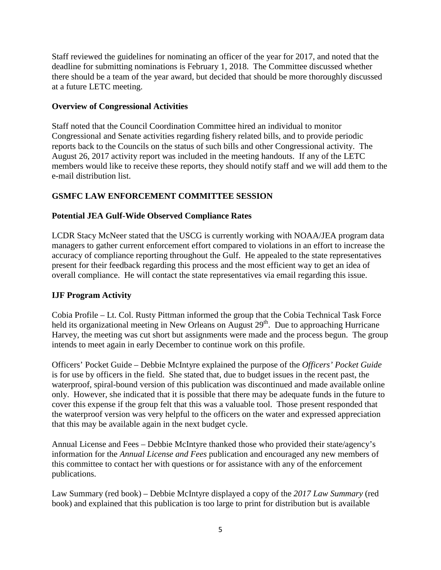Staff reviewed the guidelines for nominating an officer of the year for 2017, and noted that the deadline for submitting nominations is February 1, 2018. The Committee discussed whether there should be a team of the year award, but decided that should be more thoroughly discussed at a future LETC meeting.

# **Overview of Congressional Activities**

Staff noted that the Council Coordination Committee hired an individual to monitor Congressional and Senate activities regarding fishery related bills, and to provide periodic reports back to the Councils on the status of such bills and other Congressional activity. The August 26, 2017 activity report was included in the meeting handouts. If any of the LETC members would like to receive these reports, they should notify staff and we will add them to the e-mail distribution list.

# **GSMFC LAW ENFORCEMENT COMMITTEE SESSION**

# **Potential JEA Gulf-Wide Observed Compliance Rates**

LCDR Stacy McNeer stated that the USCG is currently working with NOAA/JEA program data managers to gather current enforcement effort compared to violations in an effort to increase the accuracy of compliance reporting throughout the Gulf. He appealed to the state representatives present for their feedback regarding this process and the most efficient way to get an idea of overall compliance. He will contact the state representatives via email regarding this issue.

# **IJF Program Activity**

Cobia Profile – Lt. Col. Rusty Pittman informed the group that the Cobia Technical Task Force held its organizational meeting in New Orleans on August 29<sup>th</sup>. Due to approaching Hurricane Harvey, the meeting was cut short but assignments were made and the process begun. The group intends to meet again in early December to continue work on this profile.

Officers' Pocket Guide – Debbie McIntyre explained the purpose of the *Officers' Pocket Guide* is for use by officers in the field. She stated that, due to budget issues in the recent past, the waterproof, spiral-bound version of this publication was discontinued and made available online only. However, she indicated that it is possible that there may be adequate funds in the future to cover this expense if the group felt that this was a valuable tool. Those present responded that the waterproof version was very helpful to the officers on the water and expressed appreciation that this may be available again in the next budget cycle.

Annual License and Fees – Debbie McIntyre thanked those who provided their state/agency's information for the *Annual License and Fees* publication and encouraged any new members of this committee to contact her with questions or for assistance with any of the enforcement publications.

Law Summary (red book) – Debbie McIntyre displayed a copy of the *2017 Law Summary* (red book) and explained that this publication is too large to print for distribution but is available